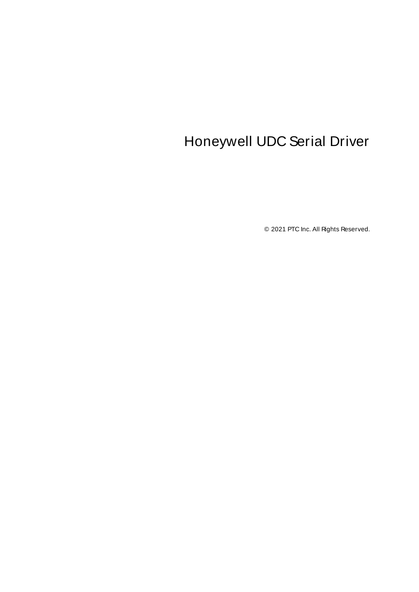# <span id="page-0-0"></span>Honeywell UDC Serial Driver

© 2021 PTC Inc. All Rights Reserved.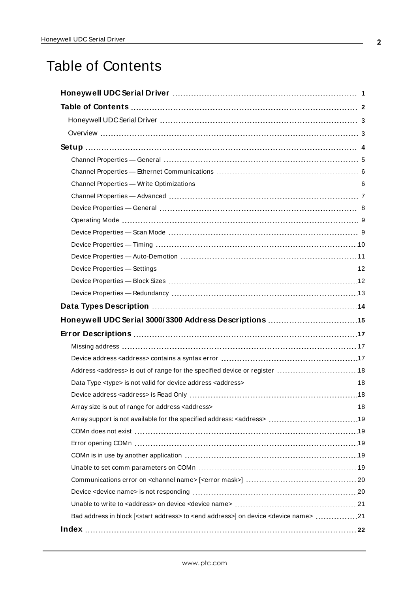# <span id="page-1-0"></span>Table of Contents

| Bad address in block [ <start address=""> to <end address="">] on device <device name=""> 21</device></end></start> |  |
|---------------------------------------------------------------------------------------------------------------------|--|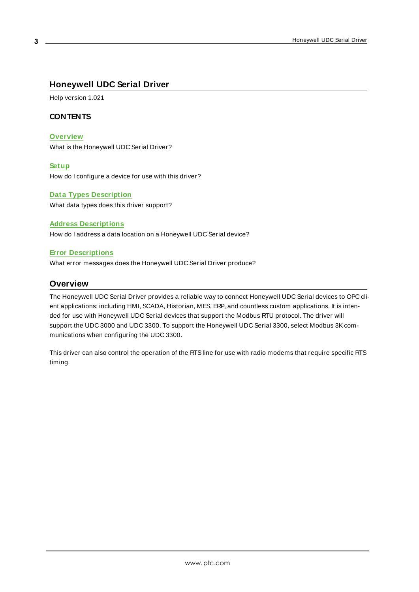# <span id="page-2-0"></span>**Honeywell UDC Serial Driver**

Help version 1.021

## **CONTENTS**

#### **[Overview](#page-2-1)**

What is the Honeywell UDC Serial Driver?

#### **[Setup](#page-3-0)**

How do I configure a device for use with this driver?

#### **Data Types [Description](#page-13-0)**

What data types does this driver support?

#### **Address [Descriptions](#page-14-0)**

How do I address a data location on a Honeywell UDC Serial device?

#### **Error [Descriptions](#page-16-0)**

<span id="page-2-1"></span>What error messages does the Honeywell UDC Serial Driver produce?

#### **Overview**

The Honeywell UDC Serial Driver provides a reliable way to connect Honeywell UDC Serial devices to OPC client applications; including HMI, SCADA, Historian, MES, ERP, and countless custom applications. It is intended for use with Honeywell UDC Serial devices that support the Modbus RTU protocol. The driver will support the UDC 3000 and UDC 3300. To support the Honeywell UDC Serial 3300, select Modbus 3Kcommunications when configuring the UDC 3300.

This driver can also control the operation of the RTSline for use with radio modems that require specific RTS timing.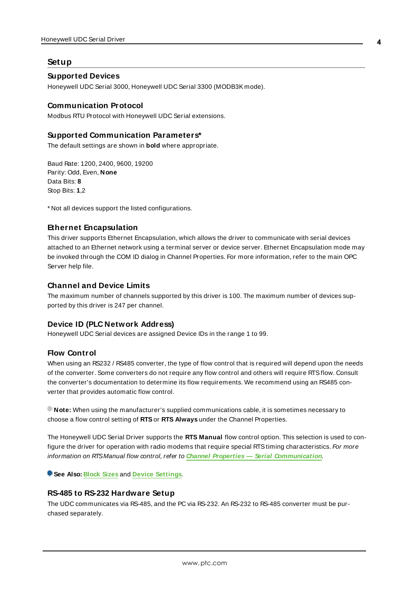#### <span id="page-3-0"></span>**Setup**

#### **Supported Devices**

Honeywell UDC Serial 3000, Honeywell UDC Serial 3300 (MODB3K mode).

#### **Communication Protocol**

Modbus RTU Protocol with Honeywell UDC Serial extensions.

#### **Supported Communication Parameters\***

The default settings are shown in **bold** where appropriate.

Baud Rate: 1200, 2400, 9600, 19200 Parity: Odd, Even, **None** Data Bits: **8** Stop Bits: **1**,2

\* Not all devices support the listed configurations.

### <span id="page-3-3"></span>**Ethernet Encapsulation**

This driver supports Ethernet Encapsulation, which allows the driver to communicate with serial devices attached to an Ethernet network using a terminal server or device server. Ethernet Encapsulation mode may be invoked through the COM ID dialog in Channel Properties. For more information, refer to the main OPC Server help file.

#### **Channel and Device Limits**

The maximum number of channels supported by this driver is 100. The maximum number of devices supported by this driver is 247 per channel.

#### <span id="page-3-2"></span>**Device ID (PLC Network Address)**

Honeywell UDC Serial devices are assigned Device IDs in the range 1 to 99.

#### **Flow Control**

When using an RS232 / RS485 converter, the type of flow control that is required will depend upon the needs of the converter. Some converters do not require any flow control and others will require RTSflow. Consult the converter's documentation to determine its flow requirements. We recommend using an RS485 converter that provides automatic flow control.

**Note:** When using the manufacturer's supplied communications cable, it is sometimes necessary to choose a flow control setting of **RTS**or **RTS Always** under the Channel Properties.

The Honeywell UDC Serial Driver supports the **RTS Manual** flow control option. This selection is used to configure the driver for operation with radio modems that require special RTS timing characteristics. For more information on RTSManual flow control, refer to **Channel Properties — Serial Communication**.

<span id="page-3-1"></span>**See Also: [Block](#page-11-1) Sizes** and **Device [Settings](#page-11-0)**.

#### **RS-485 to RS-232 Hardware Setup**

The UDC communicates via RS-485, and the PC via RS-232. An RS-232 to RS-485 converter must be purchased separately.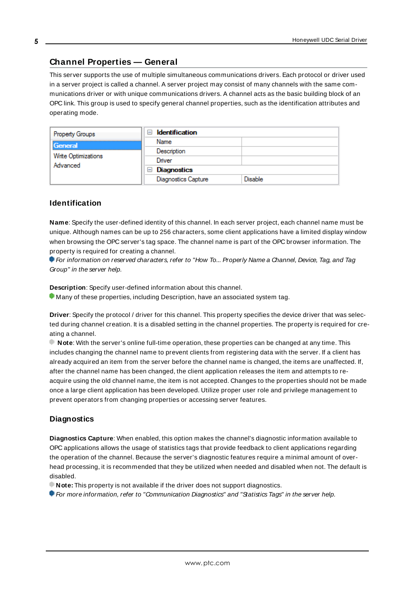## <span id="page-4-0"></span>**Channel Properties — General**

This server supports the use of multiple simultaneous communications drivers. Each protocol or driver used in a server project is called a channel. A server project may consist of many channels with the same communications driver or with unique communications drivers. A channel acts as the basic building block of an OPC link. This group is used to specify general channel properties, such as the identification attributes and operating mode.

| <b>Property Groups</b>          | <b>Identification</b><br>$\overline{\phantom{a}}$ |                |
|---------------------------------|---------------------------------------------------|----------------|
| General                         | Name                                              |                |
| Write Optimizations<br>Advanced | Description                                       |                |
|                                 | Driver                                            |                |
|                                 | Diagnostics<br>$\overline{ }$                     |                |
|                                 | Diagnostics Capture                               | <b>Disable</b> |

#### **Identification**

**Name**: Specify the user-defined identity of this channel. In each server project, each channel name must be unique. Although names can be up to 256 characters, some client applications have a limited display window when browsing the OPC server's tag space. The channel name is part of the OPC browser information. The property is required for creating a channel.

For information on reserved characters, refer to "How To... Properly Name a Channel, Device, Tag, and Tag Group" in the server help.

**Description**: Specify user-defined information about this channel.

Many of these properties, including Description, have an associated system tag.

**Driver**: Specify the protocol / driver for this channel. This property specifies the device driver that was selected during channel creation. It is a disabled setting in the channel properties. The property is required for creating a channel.

**Note**: With the server's online full-time operation, these properties can be changed at any time. This includes changing the channel name to prevent clients from registering data with the server. If a client has already acquired an item from the server before the channel name is changed, the items are unaffected. If, after the channel name has been changed, the client application releases the item and attempts to reacquire using the old channel name, the item is not accepted. Changes to the properties should not be made once a large client application has been developed. Utilize proper user role and privilege management to prevent operators from changing properties or accessing server features.

#### **Diagnostics**

**Diagnostics Capture**: When enabled, this option makes the channel's diagnostic information available to OPC applications allows the usage of statistics tags that provide feedback to client applications regarding the operation of the channel. Because the server's diagnostic features require a minimal amount of overhead processing, it is recommended that they be utilized when needed and disabled when not. The default is disabled.

**Note:** This property is not available if the driver does not support diagnostics.

**• For more information, refer to "Communication Diagnostics" and "Statistics Tags" in the server help.**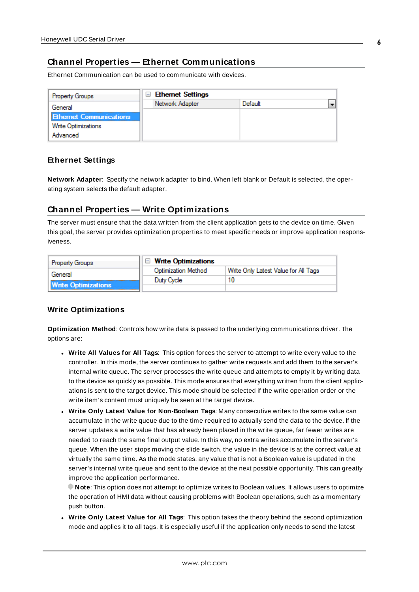# <span id="page-5-0"></span>**Channel Properties — Ethernet Communications**

Ethernet Communication can be used to communicate with devices.

| <b>Property Groups</b>         | <b>Ethernet Settings</b><br>$\equiv$ |         |  |
|--------------------------------|--------------------------------------|---------|--|
| General                        | Network Adapter                      | Default |  |
| <b>Ethernet Communications</b> |                                      |         |  |
| Write Optimizations            |                                      |         |  |
| Advanced                       |                                      |         |  |

#### **Ethernet Settings**

**Network Adapter**: Specify the network adapter to bind. When left blank or Default is selected, the operating system selects the default adapter.

## <span id="page-5-1"></span>**Channel Properties — Write Optimizations**

The server must ensure that the data written from the client application gets to the device on time. Given this goal, the server provides optimization properties to meet specific needs or improve application responsiveness.

| <b>Property Groups</b>     | $\Box$ Write Optimizations |                                      |
|----------------------------|----------------------------|--------------------------------------|
| General                    | <b>Optimization Method</b> | Write Only Latest Value for All Tags |
|                            | Duty Cycle                 | 10                                   |
| <b>Write Optimizations</b> |                            |                                      |

#### **Write Optimizations**

**Optimization Method**: Controls how write data is passed to the underlying communications driver. The options are:

- <sup>l</sup> **Write All Values for All Tags**: This option forces the server to attempt to write every value to the controller. In this mode, the server continues to gather write requests and add them to the server's internal write queue. The server processes the write queue and attempts to empty it by writing data to the device as quickly as possible. This mode ensures that everything written from the client applications is sent to the target device. This mode should be selected if the write operation order or the write item's content must uniquely be seen at the target device.
- <sup>l</sup> **Write Only Latest Value for Non-Boolean Tags**: Many consecutive writes to the same value can accumulate in the write queue due to the time required to actually send the data to the device. If the server updates a write value that has already been placed in the write queue, far fewer writes are needed to reach the same final output value. In this way, no extra writes accumulate in the server's queue. When the user stops moving the slide switch, the value in the device is at the correct value at virtually the same time. As the mode states, any value that is not a Boolean value is updated in the server's internal write queue and sent to the device at the next possible opportunity. This can greatly improve the application performance.

**Note**: This option does not attempt to optimize writes to Boolean values. It allows users to optimize the operation of HMI data without causing problems with Boolean operations, such as a momentary push button.

**• Write Only Latest Value for All Tags**: This option takes the theory behind the second optimization mode and applies it to all tags. It is especially useful if the application only needs to send the latest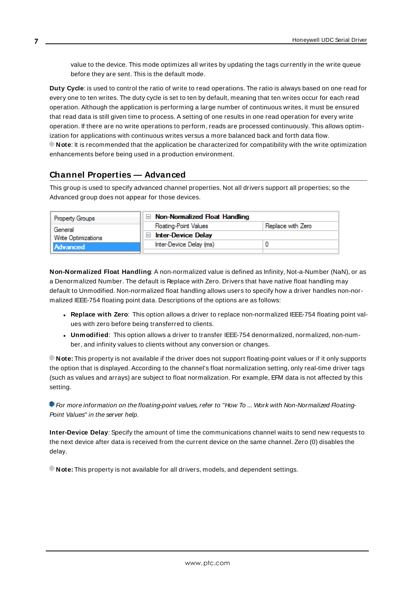value to the device. This mode optimizes all writes by updating the tags currently in the write queue before they are sent. This is the default mode.

**Duty Cycle**: is used to control the ratio of write to read operations. The ratio is always based on one read for every one to ten writes. The duty cycle is set to ten by default, meaning that ten writes occur for each read operation. Although the application is performing a large number of continuous writes, it must be ensured that read data is still given time to process. A setting of one results in one read operation for every write operation. If there are no write operations to perform, reads are processed continuously. This allows optimization for applications with continuous writes versus a more balanced back and forth data flow. **Note**: It is recommended that the application be characterized for compatibility with the write optimization enhancements before being used in a production environment.

# <span id="page-6-0"></span>**Channel Properties — Advanced**

This group is used to specify advanced channel properties. Not all drivers support all properties; so the Advanced group does not appear for those devices.

| <b>Property Groups</b> | $\Box$ Non-Normalized Float Handling |                   |
|------------------------|--------------------------------------|-------------------|
| General                | <b>Floating-Point Values</b>         | Replace with Zero |
| Write Optimizations    | <b>Inter-Device Delay</b><br>$-1$    |                   |
| Advanced               | Inter-Device Delay (ms)              |                   |
|                        |                                      |                   |

**Non-Normalized Float Handling**: A non-normalized value is defined as Infinity, Not-a-Number (NaN), or as a Denormalized Number. The default is Replace with Zero. Drivers that have native float handling may default to Unmodified. Non-normalized float handling allows users to specify how a driver handles non-normalized IEEE-754 floating point data. Descriptions of the options are as follows:

- <sup>l</sup> **Replace with Zero**: This option allows a driver to replace non-normalized IEEE-754 floating point values with zero before being transferred to clients.
- <sup>l</sup> **Unmodified**: This option allows a driver to transfer IEEE-754 denormalized, normalized, non-number, and infinity values to clients without any conversion or changes.

**Note:** This property is not available if the driver does not support floating-point values or if it only supports the option that is displayed. According to the channel's float normalization setting, only real-time driver tags (such as values and arrays) are subject to float normalization. For example, EFM data is not affected by this setting.

For more information on the floating-point values, refer to "How To ... Work with Non-Normalized Floating-Point Values" in the server help.

**Inter-Device Delay**: Specify the amount of time the communications channel waits to send new requests to the next device after data is received from the current device on the same channel. Zero (0) disables the delay.

**Note:** This property is not available for all drivers, models, and dependent settings.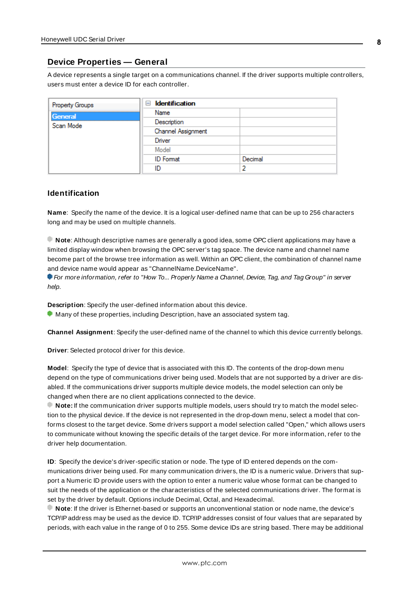### <span id="page-7-0"></span>**Device Properties — General**

A device represents a single target on a communications channel. If the driver supports multiple controllers, users must enter a device ID for each controller.

| <b>Property Groups</b> | <b>Identification</b><br>- |         |
|------------------------|----------------------------|---------|
| General                | Name                       |         |
| Scan Mode              | Description                |         |
|                        | Channel Assignment         |         |
|                        | Driver                     |         |
|                        | Model                      |         |
|                        | <b>ID</b> Format           | Decimal |
|                        | ID                         |         |

#### <span id="page-7-5"></span>**Identification**

**Name**: Specify the name of the device. It is a logical user-defined name that can be up to 256 characters long and may be used on multiple channels.

**Note**: Although descriptive names are generally a good idea, some OPC client applications may have a limited display window when browsing the OPC server's tag space. The device name and channel name become part of the browse tree information as well. Within an OPC client, the combination of channel name and device name would appear as "ChannelName.DeviceName".

For more information, refer to "How To... Properly Name a Channel, Device, Tag, and Tag Group" in server help.

**Description**: Specify the user-defined information about this device.

<span id="page-7-1"></span>**Many of these properties, including Description, have an associated system tag.** 

<span id="page-7-2"></span>**Channel Assignment**: Specify the user-defined name of the channel to which this device currently belongs.

<span id="page-7-4"></span>**Driver**: Selected protocol driver for this device.

**Model**: Specify the type of device that is associated with this ID. The contents of the drop-down menu depend on the type of communications driver being used. Models that are not supported by a driver are disabled. If the communications driver supports multiple device models, the model selection can only be changed when there are no client applications connected to the device.

**Note:** If the communication driver supports multiple models, users should try to match the model selection to the physical device. If the device is not represented in the drop-down menu, select a model that conforms closest to the target device. Some drivers support a model selection called "Open," which allows users to communicate without knowing the specific details of the target device. For more information, refer to the driver help documentation.

<span id="page-7-3"></span>**ID**: Specify the device's driver-specific station or node. The type of ID entered depends on the communications driver being used. For many communication drivers, the ID is a numeric value. Drivers that support a Numeric ID provide users with the option to enter a numeric value whose format can be changed to suit the needs of the application or the characteristics of the selected communications driver. The format is set by the driver by default. Options include Decimal, Octal, and Hexadecimal.

**Note**: If the driver is Ethernet-based or supports an unconventional station or node name, the device's TCP/IPaddress may be used as the device ID. TCP/IPaddresses consist of four values that are separated by periods, with each value in the range of 0 to 255. Some device IDs are string based. There may be additional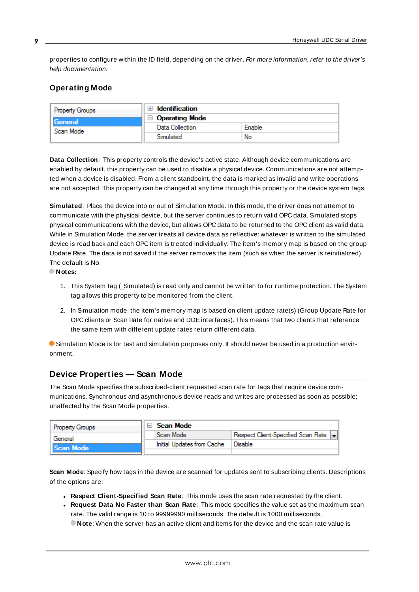properties to configure within the ID field, depending on the driver. For more information, refer to the driver's help documentation.

## <span id="page-8-0"></span>**Operating Mode**

| <b>Property Groups</b> | Identification        |        |
|------------------------|-----------------------|--------|
| General<br>Scan Mode   | $\Box$ Operating Mode |        |
|                        | Data Collection       | Enable |
|                        | Simulated             | No     |

<span id="page-8-2"></span>**Data Collection**: This property controls the device's active state. Although device communications are enabled by default, this property can be used to disable a physical device. Communications are not attempted when a device is disabled. From a client standpoint, the data is marked as invalid and write operations are not accepted. This property can be changed at any time through this property or the device system tags.

<span id="page-8-4"></span>**Simulated**: Place the device into or out of Simulation Mode. In this mode, the driver does not attempt to communicate with the physical device, but the server continues to return valid OPC data. Simulated stops physical communications with the device, but allows OPC data to be returned to the OPC client as valid data. While in Simulation Mode, the server treats all device data as reflective: whatever is written to the simulated device is read back and each OPC item is treated individually. The item's memory map is based on the group Update Rate. The data is not saved if the server removes the item (such as when the server is reinitialized). The default is No.

**Notes:**

- 1. This System tag (Simulated) is read only and cannot be written to for runtime protection. The System tag allows this property to be monitored from the client.
- 2. In Simulation mode, the item's memory map is based on client update rate(s) (Group Update Rate for OPC clients or Scan Rate for native and DDEinterfaces). This means that two clients that reference the same item with different update rates return different data.

 Simulation Mode is for test and simulation purposes only. It should never be used in a production environment.

# <span id="page-8-1"></span>**Device Properties — Scan Mode**

The Scan Mode specifies the subscribed-client requested scan rate for tags that require device communications. Synchronous and asynchronous device reads and writes are processed as soon as possible; unaffected by the Scan Mode properties.

| <b>Property Groups</b> | Scan Mode                  |                                      |
|------------------------|----------------------------|--------------------------------------|
| General                | Scan Mode                  | Respect Client-Specified Scan Rate v |
| Scan Mode              | Initial Updates from Cache | Disable                              |
|                        |                            |                                      |

<span id="page-8-3"></span>**Scan Mode**: Specify how tags in the device are scanned for updates sent to subscribing clients. Descriptions of the options are:

- <sup>l</sup> **Respect Client-Specified Scan Rate**: This mode uses the scan rate requested by the client.
- <sup>l</sup> **Request Data No Faster than Scan Rate**: This mode specifies the value set as the maximum scan rate. The valid range is 10 to 99999990 milliseconds. The default is 1000 milliseconds.

**Note**: When the server has an active client and items for the device and the scan rate value is

**9**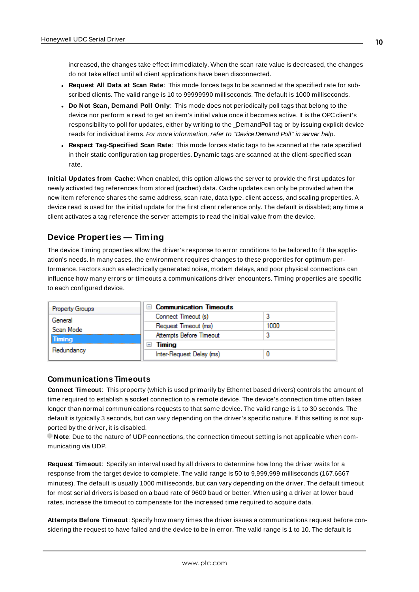increased, the changes take effect immediately. When the scan rate value is decreased, the changes do not take effect until all client applications have been disconnected.

- <sup>l</sup> **Request All Data at Scan Rate**: This mode forces tags to be scanned at the specified rate for subscribed clients. The valid range is 10 to 99999990 milliseconds. The default is 1000 milliseconds.
- <span id="page-9-3"></span><sup>l</sup> **Do Not Scan, Demand Poll Only**: This mode does not periodically poll tags that belong to the device nor perform a read to get an item's initial value once it becomes active. It is the OPC client's responsibility to poll for updates, either by writing to the \_DemandPoll tag or by issuing explicit device reads for individual items. For more information, refer to "Device Demand Poll" in server help.
- <span id="page-9-6"></span><sup>l</sup> **Respect Tag-Specified Scan Rate**: This mode forces static tags to be scanned at the rate specified in their static configuration tag properties. Dynamic tags are scanned at the client-specified scan rate.

<span id="page-9-4"></span>**Initial Updates from Cache**: When enabled, this option allows the server to provide the first updates for newly activated tag references from stored (cached) data. Cache updates can only be provided when the new item reference shares the same address, scan rate, data type, client access, and scaling properties. A device read is used for the initial update for the first client reference only. The default is disabled; any time a client activates a tag reference the server attempts to read the initial value from the device.

## <span id="page-9-1"></span><span id="page-9-0"></span>**Device Properties — Timing**

The device Timing properties allow the driver's response to error conditions to be tailored to fit the application's needs. In many cases, the environment requires changes to these properties for optimum performance. Factors such as electrically generated noise, modem delays, and poor physical connections can influence how many errors or timeouts a communications driver encounters. Timing properties are specific to each configured device.

| <b>Property Groups</b> | $\Box$ Communication Timeouts |      |
|------------------------|-------------------------------|------|
| General                | Connect Timeout (s)           |      |
| Scan Mode              | Request Timeout (ms)          | 1000 |
| Timing                 | Attempts Before Timeout       |      |
| Redundancy             | Timing<br>ı-ı                 |      |
|                        | Inter-Request Delay (ms)      |      |

#### <span id="page-9-2"></span>**Communications Timeouts**

**Connect Timeout**: This property (which is used primarily by Ethernet based drivers) controls the amount of time required to establish a socket connection to a remote device. The device's connection time often takes longer than normal communications requests to that same device. The valid range is 1 to 30 seconds. The default is typically 3 seconds, but can vary depending on the driver's specific nature. If this setting is not supported by the driver, it is disabled.

**Note:** Due to the nature of UDP connections, the connection timeout setting is not applicable when communicating via UDP.

<span id="page-9-5"></span>**Request Timeout**: Specify an interval used by all drivers to determine how long the driver waits for a response from the target device to complete. The valid range is 50 to 9,999,999 milliseconds (167.6667 minutes). The default is usually 1000 milliseconds, but can vary depending on the driver. The default timeout for most serial drivers is based on a baud rate of 9600 baud or better. When using a driver at lower baud rates, increase the timeout to compensate for the increased time required to acquire data.

**Attempts Before Timeout**: Specify how many times the driver issues a communications request before considering the request to have failed and the device to be in error. The valid range is 1 to 10. The default is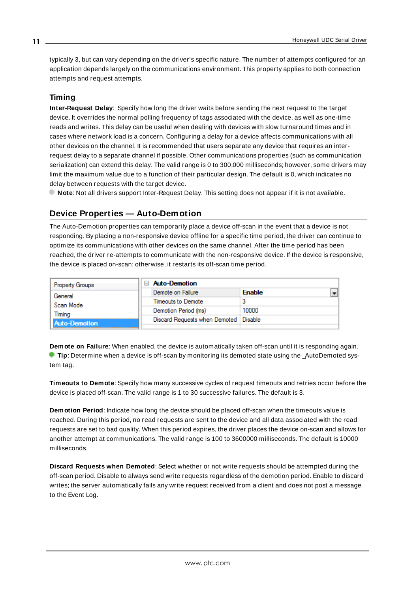<span id="page-10-1"></span>typically 3, but can vary depending on the driver's specific nature. The number of attempts configured for an application depends largely on the communications environment. This property applies to both connection attempts and request attempts.

## <span id="page-10-5"></span>**Timing**

**Inter-Request Delay**: Specify how long the driver waits before sending the next request to the target device. It overrides the normal polling frequency of tags associated with the device, as well as one-time reads and writes. This delay can be useful when dealing with devices with slow turnaround times and in cases where network load is a concern. Configuring a delay for a device affects communications with all other devices on the channel. It is recommended that users separate any device that requires an interrequest delay to a separate channel if possible. Other communications properties (such as communication serialization) can extend this delay. The valid range is 0 to 300,000 milliseconds; however, some drivers may limit the maximum value due to a function of their particular design. The default is 0, which indicates no delay between requests with the target device.

<span id="page-10-0"></span>**Note**: Not all drivers support Inter-Request Delay. This setting does not appear if it is not available.

# **Device Properties — Auto-Demotion**

The Auto-Demotion properties can temporarily place a device off-scan in the event that a device is not responding. By placing a non-responsive device offline for a specific time period, the driver can continue to optimize its communications with other devices on the same channel. After the time period has been reached, the driver re-attempts to communicate with the non-responsive device. If the device is responsive, the device is placed on-scan; otherwise, it restarts its off-scan time period.

| <b>Property Groups</b> | Auto-Demotion                           |               |  |
|------------------------|-----------------------------------------|---------------|--|
| General                | Demote on Failure                       | <b>Enable</b> |  |
| Scan Mode              | Timeouts to Demote                      |               |  |
| Timina                 | Demotion Period (ms)                    | 10000         |  |
| Auto-Demotion          | Discard Requests when Demoted   Disable |               |  |
|                        |                                         |               |  |

<span id="page-10-2"></span>**Demote on Failure**: When enabled, the device is automatically taken off-scan until it is responding again. **Tip:** Determine when a device is off-scan by monitoring its demoted state using the \_AutoDemoted system tag.

<span id="page-10-6"></span>**Timeouts to Demote**: Specify how many successive cycles of request timeouts and retries occur before the device is placed off-scan. The valid range is 1 to 30 successive failures. The default is 3.

<span id="page-10-3"></span>**Demotion Period**: Indicate how long the device should be placed off-scan when the timeouts value is reached. During this period, no read requests are sent to the device and all data associated with the read requests are set to bad quality. When this period expires, the driver places the device on-scan and allows for another attempt at communications. The valid range is 100 to 3600000 milliseconds. The default is 10000 milliseconds.

<span id="page-10-4"></span>**Discard Requests when Demoted**: Select whether or not write requests should be attempted during the off-scan period. Disable to always send write requests regardless of the demotion period. Enable to discard writes; the server automatically fails any write request received from a client and does not post a message to the Event Log.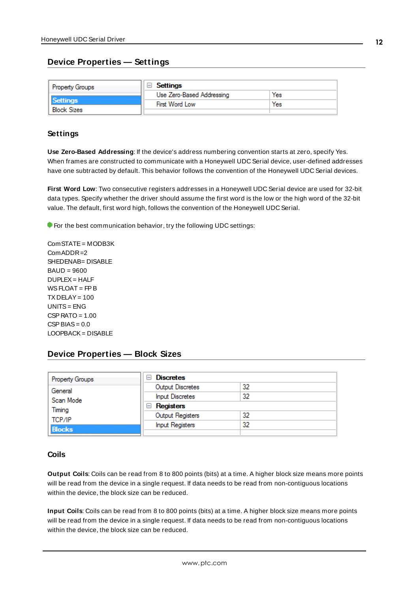## <span id="page-11-0"></span>**Device Properties — Settings**

| <b>Property Groups</b> | <b>Settings</b>           |     |
|------------------------|---------------------------|-----|
|                        | Use Zero-Based Addressing | Yes |
| Settings               | First Word Low            | Yes |
| <b>Block Sizes</b>     |                           |     |

#### **Settings**

**Use Zero-Based Addressing**: If the device's address numbering convention starts at zero, specify Yes. When frames are constructed to communicate with a Honeywell UDC Serial device, user-defined addresses have one subtracted by default. This behavior follows the convention of the Honeywell UDC Serial devices.

**First Word Low**: Two consecutive registers addresses in a Honeywell UDC Serial device are used for 32-bit data types. Specify whether the driver should assume the first word is the low or the high word of the 32-bit value. The default, first word high, follows the convention of the Honeywell UDC Serial.

**For the best communication behavior, try the following UDC settings:** 

ComSTATE= MODB3K ComADDR=2 SHEDENAB= DISABLE BAUD = 9600 DUPLEX= HALF  $WS$  FLOAT = FP B  $TX$  DELAY = 100  $UNITS = FNG$  $CSP$  RATO = 1.00  $CSP BIAS = 0.0$ LOOPBACK= DISABLE

# <span id="page-11-1"></span>**Device Properties — Block Sizes**

| <b>Property Groups</b> | <b>Discretes</b><br>$-1$ |    |
|------------------------|--------------------------|----|
| General                | Output Discretes         | 32 |
| Scan Mode              | <b>Input Discretes</b>   | 32 |
| Timing                 | Registers<br>н           |    |
| TCP/IP                 | Output Registers         | 32 |
| <b>Blocks</b>          | <b>Input Registers</b>   | 32 |
|                        |                          |    |

#### **Coils**

**Output Coils**: Coils can be read from 8 to 800 points (bits) at a time. A higher block size means more points will be read from the device in a single request. If data needs to be read from non-contiguous locations within the device, the block size can be reduced.

**Input Coils**: Coils can be read from 8 to 800 points (bits) at a time. A higher block size means more points will be read from the device in a single request. If data needs to be read from non-contiguous locations within the device, the block size can be reduced.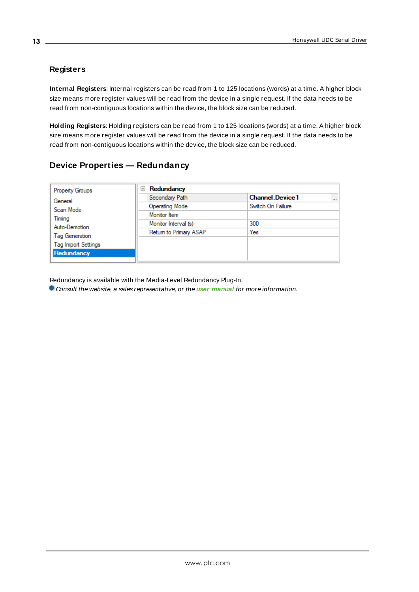# **Registers**

**Internal Registers**: Internal registers can be read from 1 to 125 locations (words) at a time. A higher block size means more register values will be read from the device in a single request. If the data needs to be read from non-contiguous locations within the device, the block size can be reduced.

**Holding Registers**: Holding registers can be read from 1 to 125 locations (words) at a time. A higher block size means more register values will be read from the device in a single request. If the data needs to be read from non-contiguous locations within the device, the block size can be reduced.

<span id="page-12-0"></span>

| <b>Property Groups</b>     | Redundancy<br>$=$      |                                    |  |
|----------------------------|------------------------|------------------------------------|--|
| General                    | Secondary Path         | <b>Channel Device1</b><br>$\cdots$ |  |
| Scan Mode                  | <b>Operating Mode</b>  | Switch On Failure                  |  |
| Timing                     | Monitor Item           |                                    |  |
| Auto-Demotion              | Monitor Interval (s)   | 300                                |  |
|                            | Return to Primary ASAP | Yes                                |  |
| <b>Tag Generation</b>      |                        |                                    |  |
| <b>Tag Import Settings</b> |                        |                                    |  |
| Redundancy                 |                        |                                    |  |

Redundancy is available with the Media-Level Redundancy Plug-In.

Consult the website, a sales representative, or the **user [manual](https://www.kepware.com/getattachment/35461efd-b53a-4219-a109-a89fad20b230/media-level-redundancy-manual.pdf)** for more information.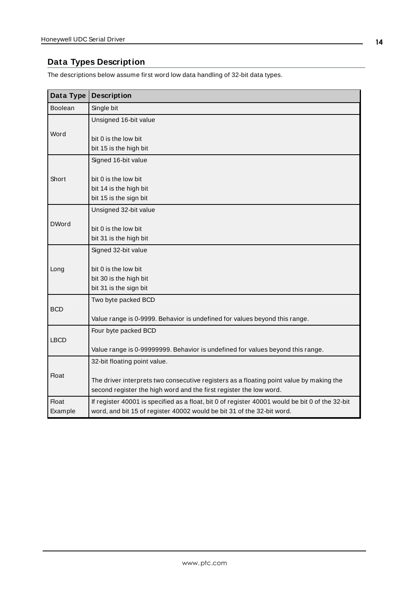# <span id="page-13-8"></span><span id="page-13-0"></span>**Data Types Description**

The descriptions below assume first word low data handling of 32-bit data types.

<span id="page-13-7"></span><span id="page-13-6"></span><span id="page-13-5"></span><span id="page-13-4"></span><span id="page-13-3"></span><span id="page-13-2"></span><span id="page-13-1"></span>

| Data Type      | <b>Description</b>                                                                                                                                            |
|----------------|---------------------------------------------------------------------------------------------------------------------------------------------------------------|
| <b>Boolean</b> | Single bit                                                                                                                                                    |
|                | Unsigned 16-bit value                                                                                                                                         |
| Word           | bit 0 is the low bit<br>bit 15 is the high bit                                                                                                                |
|                | Signed 16-bit value                                                                                                                                           |
| Short          | bit 0 is the low bit<br>bit 14 is the high bit<br>bit 15 is the sign bit                                                                                      |
|                | Unsigned 32-bit value                                                                                                                                         |
| <b>DWord</b>   | bit 0 is the low bit<br>bit 31 is the high bit                                                                                                                |
|                | Signed 32-bit value                                                                                                                                           |
| Long           | bit 0 is the low bit<br>bit 30 is the high bit<br>bit 31 is the sign bit                                                                                      |
|                | Two byte packed BCD                                                                                                                                           |
| <b>BCD</b>     | Value range is 0-9999. Behavior is undefined for values beyond this range.                                                                                    |
|                | Four byte packed BCD                                                                                                                                          |
| <b>LBCD</b>    | Value range is 0-99999999. Behavior is undefined for values beyond this range.                                                                                |
|                | 32-bit floating point value.                                                                                                                                  |
| <b>Float</b>   | The driver interprets two consecutive registers as a floating point value by making the<br>second register the high word and the first register the low word. |
| Float          | If register 40001 is specified as a float, bit 0 of register 40001 would be bit 0 of the 32-bit                                                               |
| Example        | word, and bit 15 of register 40002 would be bit 31 of the 32-bit word.                                                                                        |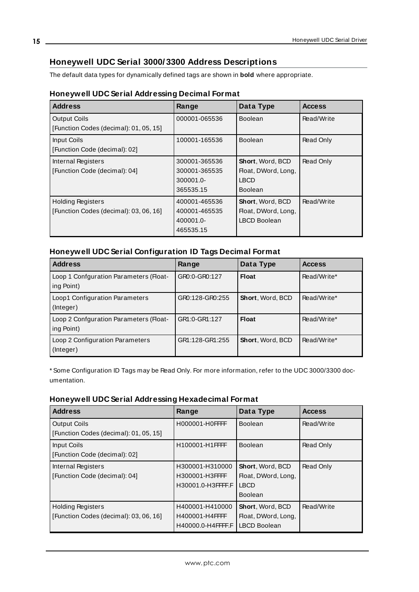# <span id="page-14-0"></span>**Honeywell UDC Serial 3000/ 3300 Address Descriptions**

The default data types for dynamically defined tags are shown in **bold** where appropriate.

## **Honeywell UDC Serial Addressing Decimal Format**

| <b>Address</b>                                                | Range         | Data Type               | <b>Access</b> |
|---------------------------------------------------------------|---------------|-------------------------|---------------|
| <b>Output Coils</b><br>[Function Codes (decimal): 01, 05, 15] | 000001-065536 | <b>Boolean</b>          | Read/Write    |
|                                                               |               |                         |               |
| Input Coils                                                   | 100001-165536 | <b>Boolean</b>          | Read Only     |
| [Function Code (decimal): 02]                                 |               |                         |               |
| Internal Registers                                            | 300001-365536 | <b>Short, Word, BCD</b> | Read Only     |
| [Function Code (decimal): 04]                                 | 300001-365535 | Float, DWord, Long,     |               |
|                                                               | 300001.0-     | LBCD                    |               |
|                                                               | 365535.15     | <b>Boolean</b>          |               |
| <b>Holding Registers</b>                                      | 400001-465536 | <b>Short, Word, BCD</b> | Read/Write    |
| [Function Codes (decimal): 03, 06, 16]                        | 400001-465535 | Float, DWord, Long,     |               |
|                                                               | 400001.0-     | <b>LBCD Boolean</b>     |               |
|                                                               | 465535.15     |                         |               |

# **Honeywell UDC Serial Configuration ID Tags Decimal Format**

| <b>Address</b>                                       | Range           | Data Type        | <b>Access</b> |
|------------------------------------------------------|-----------------|------------------|---------------|
| Loop 1 Confguration Parameters (Float-<br>ing Point) | GR0:0-GR0:127   | <b>Float</b>     | Read/Write*   |
| Loop1 Configuration Parameters<br>(Integer)          | GR0:128-GR0:255 | Short, Word, BCD | Read/Write*   |
| Loop 2 Confguration Parameters (Float-<br>ing Point) | GR1:0-GR1:127   | Float            | Read/Write*   |
| Loop 2 Configuration Parameters<br>(Integer)         | GR1:128-GR1:255 | Short, Word, BCD | Read/Write*   |

\* Some Configuration ID Tags may be Read Only. For more information, refer to the UDC 3000/3300 documentation.

#### **Honeywell UDC Serial Addressing Hexadecimal Format**

| <b>Address</b>                         | Range             | Data Type           | <b>Access</b> |
|----------------------------------------|-------------------|---------------------|---------------|
| <b>Output Coils</b>                    | H000001-H0FFFF    | <b>Boolean</b>      | Read/Write    |
| [Function Codes (decimal): 01, 05, 15] |                   |                     |               |
| Input Coils                            | H100001-H1FFFF    | <b>Boolean</b>      | Read Only     |
| [Function Code (decimal): 02]          |                   |                     |               |
| Internal Registers                     | H300001-H310000   | Short, Word, BCD    | Read Only     |
| [Function Code (decimal): 04]          | H300001-H3FFFF    | Float, DWord, Long, |               |
|                                        | H30001.0-H3FFFF.F | <b>LBCD</b>         |               |
|                                        |                   | <b>Boolean</b>      |               |
| <b>Holding Registers</b>               | H400001-H410000   | Short, Word, BCD    | Read/Write    |
| [Function Codes (decimal): 03, 06, 16] | H400001-H4FFFF    | Float, DWord, Long, |               |
|                                        | H40000.0-H4FFFF.F | <b>LBCD Boolean</b> |               |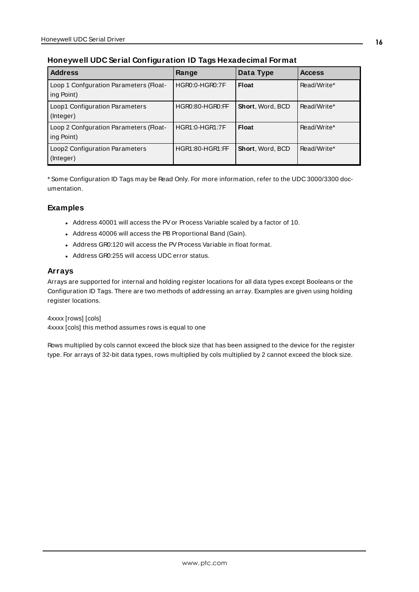| <b>Address</b>                                       | Range                  | Data Type        | <b>Access</b> |
|------------------------------------------------------|------------------------|------------------|---------------|
| Loop 1 Confguration Parameters (Float-<br>ing Point) | <b>HGR0:0-HGR0:7F</b>  | Float            | Read/Write*   |
| Loop1 Configuration Parameters<br>(Integer)          | HGR0:80-HGR0:FF        | Short, Word, BCD | Read/Write*   |
| Loop 2 Confguration Parameters (Float-<br>ing Point) | <b>HGR1:0-HGR1:7F</b>  | Float            | Read/Write*   |
| Loop2 Configuration Parameters<br>(Integer)          | <b>HGR1:80-HGR1:FF</b> | Short, Word, BCD | Read/Write*   |

## **Honeywell UDC Serial Configuration ID Tags Hexadecimal Format**

\* Some Configuration ID Tags may be Read Only. For more information, refer to the UDC 3000/3300 documentation.

#### **Examples**

- Address 40001 will access the PV or Process Variable scaled by a factor of 10.
- Address 40006 will access the PB Proportional Band (Gain).
- Address GR0:120 will access the PV Process Variable in float format.
- . Address GR0:255 will access UDC error status.

#### **Arrays**

Arrays are supported for internal and holding register locations for all data types except Booleans or the Configuration ID Tags. There are two methods of addressing an array. Examples are given using holding register locations.

4xxxx [rows] [cols] 4xxxx [cols] this method assumes rows is equal to one

Rows multiplied by cols cannot exceed the block size that has been assigned to the device for the register type. For arrays of 32-bit data types, rows multiplied by cols multiplied by 2 cannot exceed the block size.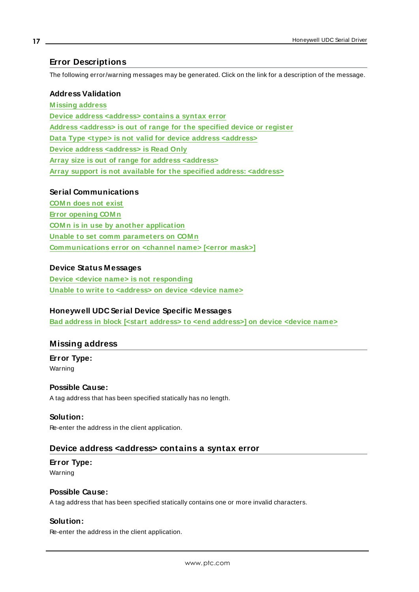## <span id="page-16-0"></span>**Error Descriptions**

The following error/warning messages may be generated. Click on the link for a description of the message.

#### **Address Validation**

**[M issing](#page-16-1) address Device address [<address>](#page-16-2) contains a syntax error Address [<address>](#page-17-0) is out of range for the specified device or register Data Type <type> is not valid for device address [<address>](#page-17-1) Device address [<address>](#page-17-2) is Read Only Array size is out of range for address [<address>](#page-17-3) Array support is not available for the specified address: [<address>](#page-18-0)**

#### **Serial Communications**

**[COM n](#page-18-1) does not exist Error [opening](#page-18-2) COM n COM n is in use by another [application](#page-18-3) Unable to set comm [parameters](#page-18-4) on COM n [Communications](#page-19-0) error on <channel name> [<error mask>]**

#### **Device Status Messages**

**Device <device name> is not [responding](#page-19-1) Unable to write to [<address>](#page-20-0) on device <device name>**

#### **Honeywell UDC Serial Device Specific Messages**

<span id="page-16-1"></span>**Bad address in block [<start address> to <end [address>\]](#page-20-1) on device <device name>**

## **Missing address**

**Error Type:** Warning

#### **Possible Cause:**

A tag address that has been specified statically has no length.

#### **Solution:**

<span id="page-16-2"></span>Re-enter the address in the client application.

#### **Device address <address> contains a syntax error**

## **Error Type:** Warning

#### **Possible Cause:**

A tag address that has been specified statically contains one or more invalid characters.

## **Solution:**

Re-enter the address in the client application.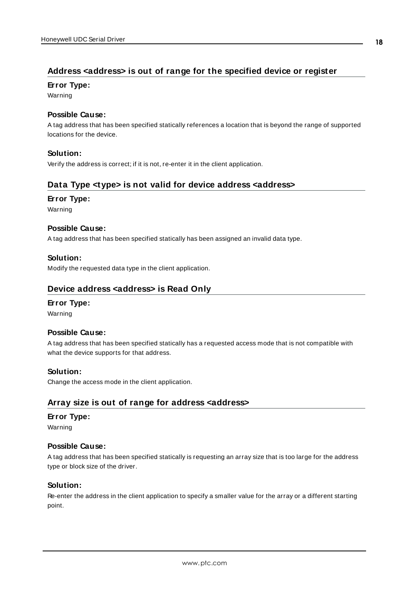# <span id="page-17-0"></span>**Address <address> is out of range for the specified device or register**

#### **Error Type:**

Warning

#### **Possible Cause:**

A tag address that has been specified statically references a location that is beyond the range of supported locations for the device.

## **Solution:**

<span id="page-17-1"></span>Verify the address is correct; if it is not, re-enter it in the client application.

# **Data Type <type> is not valid for device address <address>**

#### **Error Type:**

Warning

## **Possible Cause:**

A tag address that has been specified statically has been assigned an invalid data type.

## **Solution:**

<span id="page-17-2"></span>Modify the requested data type in the client application.

## **Device address <address> is Read Only**

#### **Error Type:**

Warning

#### **Possible Cause:**

A tag address that has been specified statically has a requested access mode that is not compatible with what the device supports for that address.

#### **Solution:**

<span id="page-17-3"></span>Change the access mode in the client application.

# **Array size is out of range for address <address>**

#### **Error Type:**

Warning

#### **Possible Cause:**

A tag address that has been specified statically is requesting an array size that is too large for the address type or block size of the driver.

#### **Solution:**

Re-enter the address in the client application to specify a smaller value for the array or a different starting point.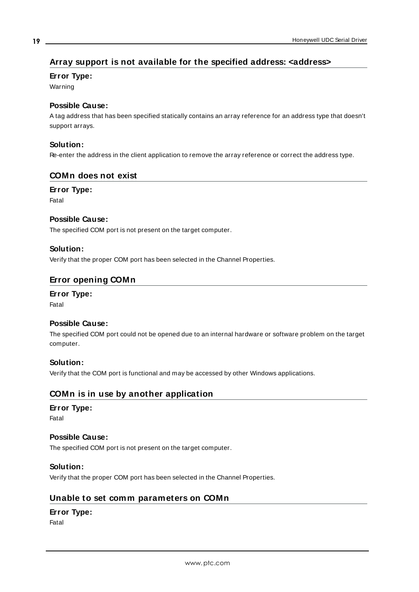# <span id="page-18-0"></span>**Array support is not available for the specified address: <address>**

## **Error Type:**

Warning

## **Possible Cause:**

A tag address that has been specified statically contains an array reference for an address type that doesn't support arrays.

#### **Solution:**

<span id="page-18-1"></span>Re-enter the address in the client application to remove the array reference or correct the address type.

#### **COMn does not exist**

**Error Type:**

Fatal

#### **Possible Cause:**

The specified COM port is not present on the target computer.

#### **Solution:**

<span id="page-18-2"></span>Verify that the proper COM port has been selected in the Channel Properties.

## **Error opening COMn**

**Error Type:** Fatal

## **Possible Cause:**

The specified COM port could not be opened due to an internal hardware or software problem on the target computer.

#### **Solution:**

<span id="page-18-3"></span>Verify that the COM port is functional and may be accessed by other Windows applications.

# **COMn is in use by another application**

#### **Error Type:**

Fatal

#### **Possible Cause:**

The specified COM port is not present on the target computer.

#### **Solution:**

<span id="page-18-4"></span>Verify that the proper COM port has been selected in the Channel Properties.

## **Unable to set comm parameters on COMn**

## **Error Type:**

Fatal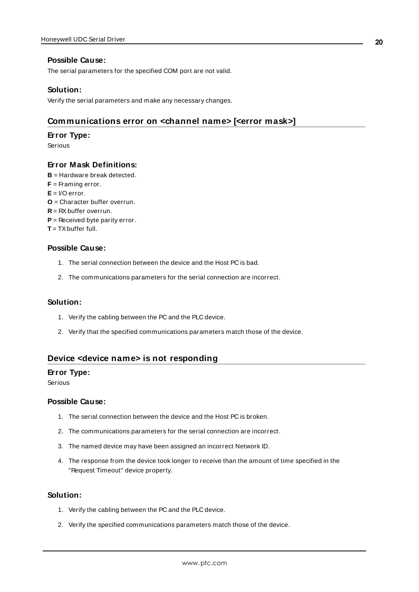#### **Possible Cause:**

The serial parameters for the specified COM port are not valid.

#### **Solution:**

<span id="page-19-0"></span>Verify the serial parameters and make any necessary changes.

#### **Communications error on <channel name> [<error mask>]**

#### **Error Type:**

Serious

#### **Error Mask Definitions:**

- <span id="page-19-2"></span>**B** = Hardware break detected.
- **F** = Framing error.
- <span id="page-19-3"></span> $E = I/O$  error.
- **O** = Character buffer overrun.
- <span id="page-19-4"></span>**R** = RXbuffer overrun.
- **P** = Received byte parity error.
- **T** = TXbuffer full.

#### **Possible Cause:**

- 1. The serial connection between the device and the Host PC is bad.
- 2. The communications parameters for the serial connection are incorrect.

#### **Solution:**

- 1. Verify the cabling between the PC and the PLC device.
- 2. Verify that the specified communications parameters match those of the device.

### <span id="page-19-1"></span>**Device <device name> is not responding**

#### **Error Type:**

Serious

#### **Possible Cause:**

- 1. The serial connection between the device and the Host PC is broken.
- 2. The communications parameters for the serial connection are incorrect.
- 3. The named device may have been assigned an incorrect Network ID.
- 4. The response from the device took longer to receive than the amount of time specified in the "Request Timeout" device property.

#### **Solution:**

- 1. Verify the cabling between the PC and the PLC device.
- 2. Verify the specified communications parameters match those of the device.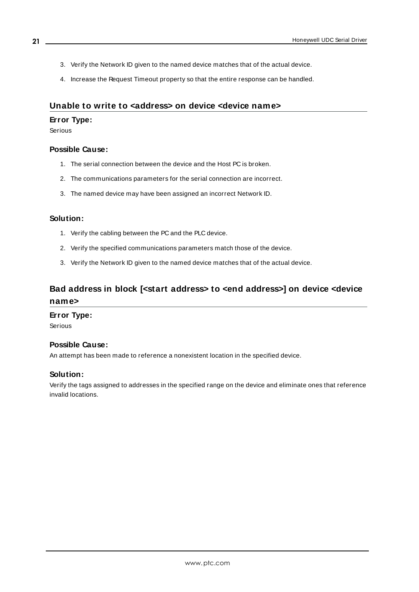- 3. Verify the Network ID given to the named device matches that of the actual device.
- 4. Increase the Request Timeout property so that the entire response can be handled.

#### <span id="page-20-0"></span>**Unable to write to <address> on device <device name>**

#### **Error Type:**

Serious

#### **Possible Cause:**

- 1. The serial connection between the device and the Host PC is broken.
- 2. The communications parameters for the serial connection are incorrect.
- 3. The named device may have been assigned an incorrect Network ID.

#### **Solution:**

- 1. Verify the cabling between the PC and the PLC device.
- 2. Verify the specified communications parameters match those of the device.
- 3. Verify the Network ID given to the named device matches that of the actual device.

# <span id="page-20-1"></span>**Bad address in block [<start address> to <end address>] on device <device name>**

#### **Error Type:**

Serious

## **Possible Cause:**

An attempt has been made to reference a nonexistent location in the specified device.

#### **Solution:**

Verify the tags assigned to addresses in the specified range on the device and eliminate ones that reference invalid locations.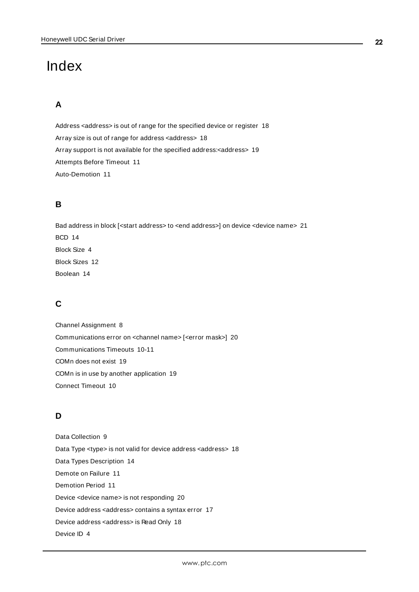# <span id="page-21-0"></span>Index

# **A**

Address <address> is out of range for the specified device or register [18](#page-17-0) Array size is out of range for address <address> [18](#page-17-3) Array support is not available for the specified address:<address> [19](#page-18-0) Attempts Before Timeout [11](#page-10-1) Auto-Demotion [11](#page-10-0)

# **B**

Bad address in block [<start address> to <end address>] on device <device name> [21](#page-20-1) BCD [14](#page-13-1) Block Size [4](#page-3-1) Block Sizes [12](#page-11-1) Boolean [14](#page-13-2)

# **C**

Channel Assignment [8](#page-7-1) Communications error on <channel name> [<error mask>] [20](#page-19-0) Communications Timeouts [10-11](#page-9-1) COMn does not exist [19](#page-18-1) COMn is in use by another application [19](#page-18-3) Connect Timeout [10](#page-9-2)

# **D**

Data Collection [9](#page-8-2) Data Type <type> is not valid for device address <address> [18](#page-17-1) Data Types Description [14](#page-13-0) Demote on Failure [11](#page-10-2) Demotion Period [11](#page-10-3) Device <device name> is not responding [20](#page-19-1) Device address <address> contains a syntax error [17](#page-16-2) Device address <address> is Read Only [18](#page-17-2) Device ID [4](#page-3-2)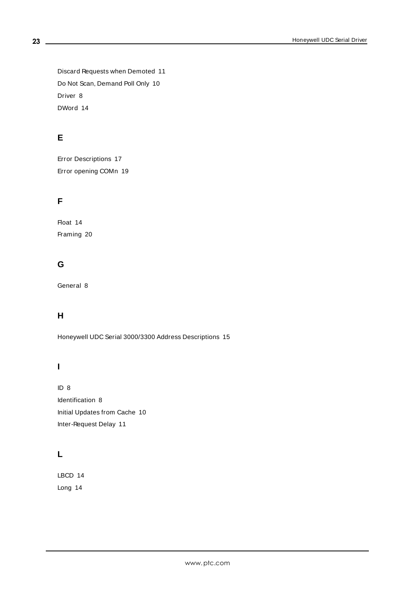Discard Requests when Demoted [11](#page-10-4) Do Not Scan, Demand Poll Only [10](#page-9-3) Driver [8](#page-7-2) DWord [14](#page-13-3)

# **E**

Error Descriptions [17](#page-16-0) Error opening COMn [19](#page-18-2)

# **F**

Float [14](#page-13-4) Framing [20](#page-19-2)

# **G**

General [8](#page-7-0)

# **H**

Honeywell UDC Serial 3000/3300 Address Descriptions [15](#page-14-0)

# **I**

ID [8](#page-7-3) Identification [8](#page-7-0) Initial Updates from Cache [10](#page-9-4) Inter-Request Delay [11](#page-10-5)

# **L**

LBCD [14](#page-13-5) Long [14](#page-13-6)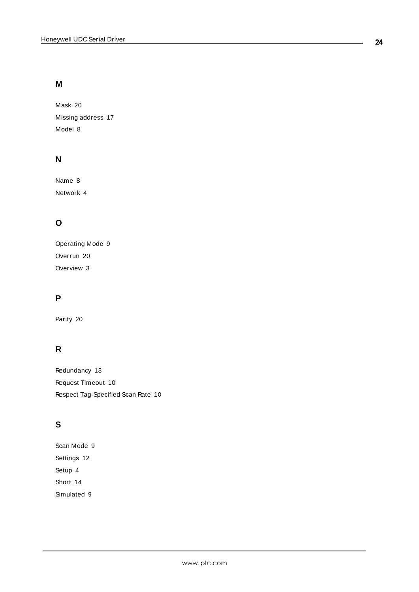# **M**

Mask [20](#page-19-0) Missing address [17](#page-16-1) Model [8](#page-7-4)

# **N**

Name [8](#page-7-5) Network [4](#page-3-3)

# **O**

Operating Mode [9](#page-8-0) Overrun [20](#page-19-3) Overview [3](#page-2-1)

# **P**

Parity [20](#page-19-4)

# **R**

Redundancy [13](#page-12-0) Request Timeout [10](#page-9-5) Respect Tag-Specified Scan Rate [10](#page-9-6)

# **S**

Scan Mode [9](#page-8-3) Settings [12](#page-11-0) Setup [4](#page-3-0) Short [14](#page-13-7) Simulated [9](#page-8-4)